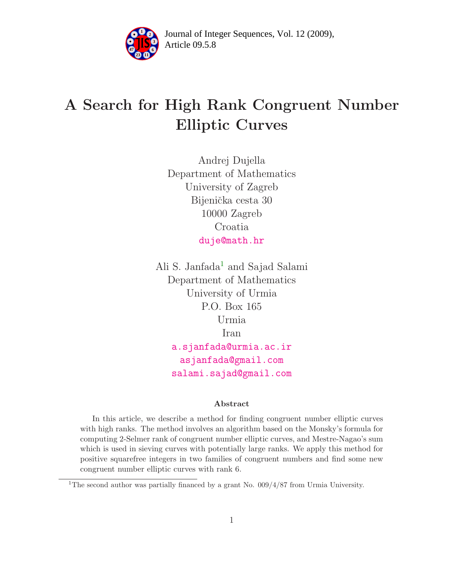

Article 09.5.8 **<sup>2</sup>** Journal of Integer Sequences, Vol. 12 (2009),

# A Search for High Rank Congruent Number Elliptic Curves

Andrej Dujella Department of Mathematics University of Zagreb Bijenička cesta 30 10000 Zagreb Croatia [duje@math.hr](mailto:duje@math.hr)

Ali S. Janfada<sup>[1](#page-0-0)</sup> and Sajad Salami Department of Mathematics University of Urmia P.O. Box 165 Urmia Iran [a.sjanfada@urmia.ac.ir](mailto:a.sjanfada@urmia.ac.ir) [asjanfada@gmail.com](mailto:asjanfada@gmail.com) [salami.sajad@gmail.com](mailto: salami.sajad@gmail.com)

#### Abstract

In this article, we describe a method for finding congruent number elliptic curves with high ranks. The method involves an algorithm based on the Monsky's formula for computing 2-Selmer rank of congruent number elliptic curves, and Mestre-Nagao's sum which is used in sieving curves with potentially large ranks. We apply this method for positive squarefree integers in two families of congruent numbers and find some new congruent number elliptic curves with rank 6.

<span id="page-0-0"></span><sup>&</sup>lt;sup>1</sup>The second author was partially financed by a grant No.  $0.09/4/87$  from Urmia University.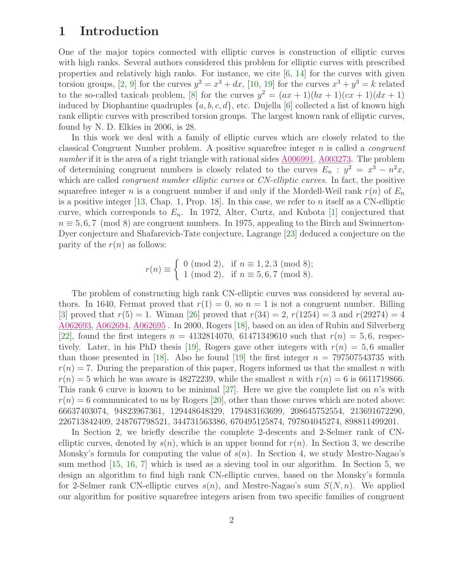## 1 Introduction

One of the major topics connected with elliptic curves is construction of elliptic curves with high ranks. Several authors considered this problem for elliptic curves with prescribed properties and relatively high ranks. For instance, we cite [\[6,](#page-9-0) [14\]](#page-9-1) for the curves with given torsion groups, [\[2,](#page-9-2) [9\]](#page-9-3) for the curves  $y^2 = x^3 + dx$ , [\[10,](#page-9-4) [19\]](#page-10-0) for the curves  $x^3 + y^3 = k$  related to the so-called taxicab problem, [\[8\]](#page-9-5) for the curves  $y^2 = (ax + 1)(bx + 1)(cx + 1)(dx + 1)$ induced by Diophantine quadruples  $\{a, b, c, d\}$ , etc. Dujella [\[6\]](#page-9-0) collected a list of known high rank elliptic curves with prescribed torsion groups. The largest known rank of elliptic curves, found by N. D. Elkies in 2006, is 28.

In this work we deal with a family of elliptic curves which are closely related to the classical Congruent Number problem. A positive squarefree integer  $n$  is called a *congruent* number if it is the area of a right triangle with rational sides [A006991,](http://www.research.att.com/cgi-bin/access.cgi/as/~njas/sequences/eisA.cgi?Anum=A006991) [A003273.](http://www.research.att.com/cgi-bin/access.cgi/as/~njas/sequences/eisA.cgi?Anum=A003273) The problem of determining congruent numbers is closely related to the curves  $E_n$ :  $y^2 = x^3 - n^2x$ , which are called *congruent number elliptic curves* or *CN-elliptic curves*. In fact, the positive squarefree integer n is a congruent number if and only if the Mordell-Weil rank  $r(n)$  of  $E_n$ is a positive integer  $[13,$  Chap. 1, Prop. 18. In this case, we refer to n itself as a CN-elliptic curve, which corresponds to  $E_n$ . In 1972, Alter, Curtz, and Kubota [\[1\]](#page-9-7) conjectured that  $n \equiv 5, 6, 7 \pmod{8}$  are congruent numbers. In 1975, appealing to the Birch and Swinnerton-Dyer conjecture and Shafarevich-Tate conjecture, Lagrange [\[23\]](#page-10-1) deduced a conjecture on the parity of the  $r(n)$  as follows:

$$
r(n) \equiv \begin{cases} 0 \pmod{2}, & \text{if } n \equiv 1, 2, 3 \pmod{8}; \\ 1 \pmod{2}, & \text{if } n \equiv 5, 6, 7 \pmod{8}. \end{cases}
$$

The problem of constructing high rank CN-elliptic curves was considered by several authors. In 1640, Fermat proved that  $r(1) = 0$ , so  $n = 1$  is not a congruent number. Billing [\[3\]](#page-9-8) proved that  $r(5) = 1$ . Wiman [\[26\]](#page-10-2) proved that  $r(34) = 2$ ,  $r(1254) = 3$  and  $r(29274) = 4$ [A062693,](http://www.research.att.com/cgi-bin/access.cgi/as/~njas/sequences/eisA.cgi?Anum=A062693) [A062694,](http://www.research.att.com/cgi-bin/access.cgi/as/~njas/sequences/eisA.cgi?Anum=A062694) [A062695](http://www.research.att.com/cgi-bin/access.cgi/as/~njas/sequences/eisA.cgi?Anum=A062695) . In 2000, Rogers [\[18\]](#page-10-3), based on an idea of Rubin and Silverberg [\[22\]](#page-10-4), found the first integers  $n = 4132814070$ , 61471349610 such that  $r(n) = 5, 6$ , respec-tively. Later, in his PhD thesis [\[19\]](#page-10-0), Rogers gave other integers with  $r(n) = 5, 6$  smaller than those presented in [\[18\]](#page-10-3). Also he found [\[19\]](#page-10-0) the first integer  $n = 797507543735$  with  $r(n) = 7$ . During the preparation of this paper, Rogers informed us that the smallest n with  $r(n) = 5$  which he was aware is 48272239, while the smallest n with  $r(n) = 6$  is 6611719866. This rank 6 curve is known to be minimal  $[27]$ . Here we give the complete list on n's with  $r(n) = 6$  communicated to us by Rogers [\[20\]](#page-10-6), other than those curves which are noted above: 66637403074, 94823967361, 129448648329, 179483163699, 208645752554, 213691672290, 226713842409, 248767798521, 344731563386, 670495125874, 797804045274, 898811499201.

In Section 2, we briefly describe the complete 2-descents and 2-Selmer rank of CNelliptic curves, denoted by  $s(n)$ , which is an upper bound for  $r(n)$ . In Section 3, we describe Monsky's formula for computing the value of  $s(n)$ . In Section 4, we study Mestre-Nagao's sum method [\[15,](#page-9-9) [16,](#page-9-10) [7\]](#page-9-11) which is used as a sieving tool in our algorithm. In Section 5, we design an algorithm to find high rank CN-elliptic curves, based on the Monsky's formula for 2-Selmer rank CN-elliptic curves  $s(n)$ , and Mestre-Nagao's sum  $S(N, n)$ . We applied our algorithm for positive squarefree integers arisen from two specific families of congruent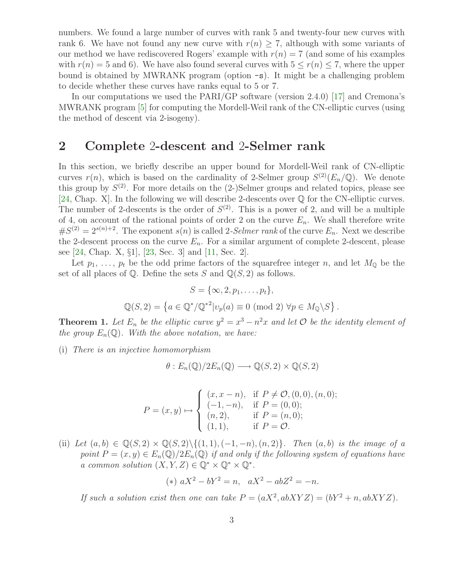numbers. We found a large number of curves with rank 5 and twenty-four new curves with rank 6. We have not found any new curve with  $r(n) \geq 7$ , although with some variants of our method we have rediscovered Rogers' example with  $r(n) = 7$  (and some of his examples with  $r(n) = 5$  and 6). We have also found several curves with  $5 \le r(n) \le 7$ , where the upper bound is obtained by MWRANK program (option -s). It might be a challenging problem to decide whether these curves have ranks equal to 5 or 7.

In our computations we used the PARI/GP software (version 2.4.0) [\[17\]](#page-10-7) and Cremona's MWRANK program [\[5\]](#page-9-12) for computing the Mordell-Weil rank of the CN-elliptic curves (using the method of descent via 2-isogeny).

#### 2 Complete 2-descent and 2-Selmer rank

In this section, we briefly describe an upper bound for Mordell-Weil rank of CN-elliptic curves  $r(n)$ , which is based on the cardinality of 2-Selmer group  $S^{(2)}(E_n/\mathbb{Q})$ . We denote this group by  $S^{(2)}$ . For more details on the  $(2-)$ Selmer groups and related topics, please see [\[24,](#page-10-8) Chap. X]. In the following we will describe 2-descents over Q for the CN-elliptic curves. The number of 2-descents is the order of  $S^{(2)}$ . This is a power of 2, and will be a multiple of 4, on account of the rational points of order 2 on the curve  $E_n$ . We shall therefore write  $#S^{(2)} = 2^{s(n)+2}$ . The exponent  $s(n)$  is called 2-*Selmer rank* of the curve  $E_n$ . Next we describe the 2-descent process on the curve  $E_n$ . For a similar argument of complete 2-descent, please see [\[24,](#page-10-8) Chap. X, §1], [\[23,](#page-10-1) Sec. 3] and [\[11,](#page-9-13) Sec. 2].

Let  $p_1, \ldots, p_t$  be the odd prime factors of the squarefree integer n, and let  $M_{\mathbb{Q}}$  be the set of all places of  $\mathbb Q$ . Define the sets S and  $\mathbb Q(S, 2)$  as follows.

$$
S = \{\infty, 2, p_1, \dots, p_t\},
$$
  

$$
\mathbb{Q}(S, 2) = \{a \in \mathbb{Q}^*/\mathbb{Q}^{*2} | v_p(a) \equiv 0 \pmod{2} \forall p \in M_{\mathbb{Q}} \backslash S\}.
$$

**Theorem 1.** Let  $E_n$  be the elliptic curve  $y^2 = x^3 - n^2x$  and let  $\mathcal{O}$  be the identity element of the group  $E_n(\mathbb{Q})$ . With the above notation, we have:

(i) There is an injective homomorphism

$$
\theta: E_n(\mathbb{Q})/2E_n(\mathbb{Q}) \longrightarrow \mathbb{Q}(S,2) \times \mathbb{Q}(S,2)
$$

$$
P = (x, y) \mapsto \begin{cases} (x, x - n), & \text{if } P \neq \mathcal{O}, (0, 0), (n, 0); \\ (-1, -n), & \text{if } P = (0, 0); \\ (n, 2), & \text{if } P = (n, 0); \\ (1, 1), & \text{if } P = \mathcal{O}. \end{cases}
$$

(ii) Let  $(a, b) \in \mathbb{Q}(S, 2) \times \mathbb{Q}(S, 2) \setminus \{(1, 1), (-1, -n), (n, 2)\}\$ . Then  $(a, b)$  is the image of a point  $P = (x, y) \in E_n(\mathbb{Q})/2E_n(\mathbb{Q})$  if and only if the following system of equations have a common solution  $(X, Y, Z) \in \mathbb{Q}^* \times \mathbb{Q}^* \times \mathbb{Q}^*$ .

(\*) 
$$
aX^2 - bY^2 = n
$$
,  $aX^2 - abZ^2 = -n$ .

If such a solution exist then one can take  $P = (aX^2, abXYZ) = (bY^2 + n, abXYZ)$ .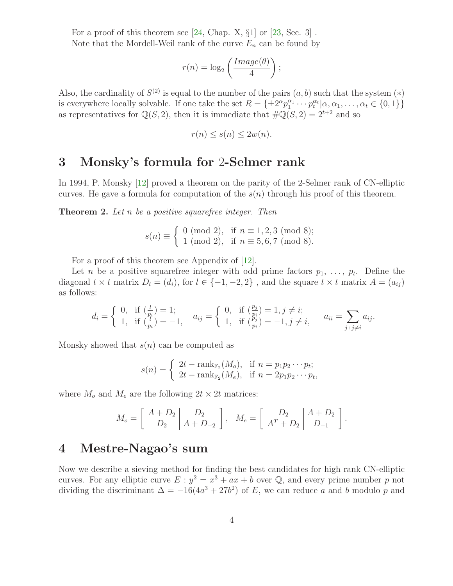For a proof of this theorem see  $[24,$  Chap. X,  $\S1$  or  $[23,$  Sec. 3]. Note that the Mordell-Weil rank of the curve  $E_n$  can be found by

$$
r(n) = \log_2\left(\frac{Image(\theta)}{4}\right);
$$

Also, the cardinality of  $S^{(2)}$  is equal to the number of the pairs  $(a, b)$  such that the system  $(*)$ is everywhere locally solvable. If one take the set  $R = \{\pm 2^{\alpha} p_1^{\alpha_1}\}$  $a_1^{\alpha_1} \cdots p_t^{\alpha_t} | \alpha, \alpha_1, \ldots, \alpha_t \in \{0, 1\} \}$ as representatives for  $\mathbb{Q}(S, 2)$ , then it is immediate that  $\#\mathbb{Q}(S, 2) = 2^{t+2}$  and so

$$
r(n) \le s(n) \le 2w(n).
$$

#### 3 Monsky's formula for 2-Selmer rank

<span id="page-3-0"></span>In 1994, P. Monsky [\[12\]](#page-9-14) proved a theorem on the parity of the 2-Selmer rank of CN-elliptic curves. He gave a formula for computation of the  $s(n)$  through his proof of this theorem.

**Theorem 2.** Let n be a positive squarefree integer. Then

$$
s(n) \equiv \begin{cases} 0 \pmod{2}, & \text{if } n \equiv 1, 2, 3 \pmod{8}; \\ 1 \pmod{2}, & \text{if } n \equiv 5, 6, 7 \pmod{8}. \end{cases}
$$

For a proof of this theorem see Appendix of [\[12\]](#page-9-14).

Let *n* be a positive squarefree integer with odd prime factors  $p_1, \ldots, p_t$ . Define the diagonal  $t \times t$  matrix  $D_l = (d_i)$ , for  $l \in \{-1, -2, 2\}$ , and the square  $t \times t$  matrix  $A = (a_{ij})$ as follows:

$$
d_i = \begin{cases} 0, & \text{if } \left(\frac{l}{p_i}\right) = 1; \\ 1, & \text{if } \left(\frac{l}{p_i}\right) = -1, \end{cases} \quad a_{ij} = \begin{cases} 0, & \text{if } \left(\frac{p_j}{p_i}\right) = 1, j \neq i; \\ 1, & \text{if } \left(\frac{p_j}{p_i}\right) = -1, j \neq i, \end{cases} \quad a_{ii} = \sum_{j \,:\, j \neq i} a_{ij}.
$$

Monsky showed that  $s(n)$  can be computed as

$$
s(n) = \begin{cases} 2t - \text{rank}_{\mathbb{F}_2}(M_o), & \text{if } n = p_1 p_2 \cdots p_t; \\ 2t - \text{rank}_{\mathbb{F}_2}(M_e), & \text{if } n = 2p_1 p_2 \cdots p_t, \end{cases}
$$

where  $M_o$  and  $M_e$  are the following  $2t \times 2t$  matrices:

$$
M_o = \left[ \begin{array}{c|c} A + D_2 & D_2 \\ \hline D_2 & A + D_{-2} \end{array} \right], \quad M_e = \left[ \begin{array}{c|c} D_2 & A + D_2 \\ \hline A^T + D_2 & D_{-1} \end{array} \right].
$$

### 4 Mestre-Nagao's sum

Now we describe a sieving method for finding the best candidates for high rank CN-elliptic curves. For any elliptic curve  $E: y^2 = x^3 + ax + b$  over Q, and every prime number p not dividing the discriminant  $\Delta = -16(4a^3 + 27b^2)$  of E, we can reduce a and b modulo p and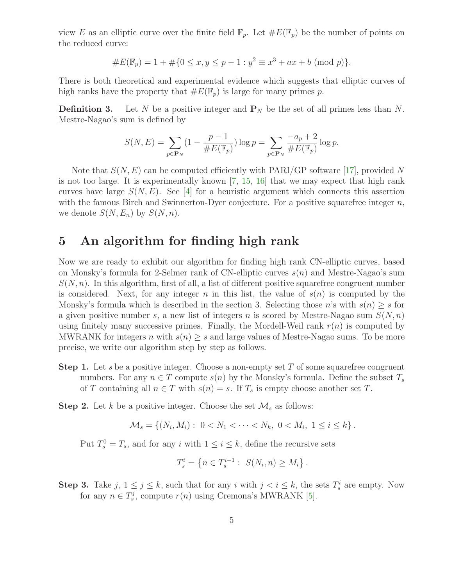view E as an elliptic curve over the finite field  $\mathbb{F}_p$ . Let  $\#E(\mathbb{F}_p)$  be the number of points on the reduced curve:

#E(Fp) = 1 + #{0 ≤ x, y ≤ p − 1 : y <sup>2</sup> ≡ x <sup>3</sup> + ax + b (mod p)}.

There is both theoretical and experimental evidence which suggests that elliptic curves of high ranks have the property that  $\#E(\mathbb{F}_p)$  is large for many primes p.

**Definition 3.** Let N be a positive integer and  $P_N$  be the set of all primes less than N. Mestre-Nagao's sum is defined by

$$
S(N,E)=\sum_{p\in{\bf P}_N}(1-\frac{p-1}{\#E(\mathbb{F}_p)})\log p=\sum_{p\in{\bf P}_N}\frac{-a_p+2}{\#E(\mathbb{F}_p)}\log p.
$$

Note that  $S(N, E)$  can be computed efficiently with PARI/GP software [\[17\]](#page-10-7), provided N is not too large. It is experimentally known  $[7, 15, 16]$  $[7, 15, 16]$  $[7, 15, 16]$  $[7, 15, 16]$  that we may expect that high rank curves have large  $S(N, E)$ . See [\[4\]](#page-9-15) for a heuristic argument which connects this assertion with the famous Birch and Swinnerton-Dyer conjecture. For a positive squarefree integer  $n$ , we denote  $S(N, E_n)$  by  $S(N, n)$ .

# 5 An algorithm for finding high rank

Now we are ready to exhibit our algorithm for finding high rank CN-elliptic curves, based on Monsky's formula for 2-Selmer rank of CN-elliptic curves  $s(n)$  and Mestre-Nagao's sum  $S(N, n)$ . In this algorithm, first of all, a list of different positive squarefree congruent number is considered. Next, for any integer n in this list, the value of  $s(n)$  is computed by the Monsky's formula which is described in the section 3. Selecting those n's with  $s(n) \geq s$  for a given positive number s, a new list of integers n is scored by Mestre-Nagao sum  $S(N, n)$ using finitely many successive primes. Finally, the Mordell-Weil rank  $r(n)$  is computed by MWRANK for integers n with  $s(n) \geq s$  and large values of Mestre-Nagao sums. To be more precise, we write our algorithm step by step as follows.

**Step 1.** Let s be a positive integer. Choose a non-empty set T of some squarefree congruent numbers. For any  $n \in T$  compute  $s(n)$  by the Monsky's formula. Define the subset  $T_s$ of T containing all  $n \in T$  with  $s(n) = s$ . If  $T_s$  is empty choose another set T.

**Step 2.** Let k be a positive integer. Choose the set  $\mathcal{M}_s$  as follows:

$$
\mathcal{M}_s = \left\{ (N_i, M_i) : 0 < N_1 < \cdots < N_k, \ 0 < M_i, \ 1 \leq i \leq k \right\}.
$$

Put  $T_s^0 = T_s$ , and for any i with  $1 \le i \le k$ , define the recursive sets

$$
T_s^i = \{ n \in T_s^{i-1} : S(N_i, n) \ge M_i \} .
$$

**Step 3.** Take  $j, 1 \leq j \leq k$ , such that for any i with  $j < i \leq k$ , the sets  $T_s^i$  are empty. Now for any  $n \in T_s^j$ , compute  $r(n)$  using Cremona's MWRANK [\[5\]](#page-9-12).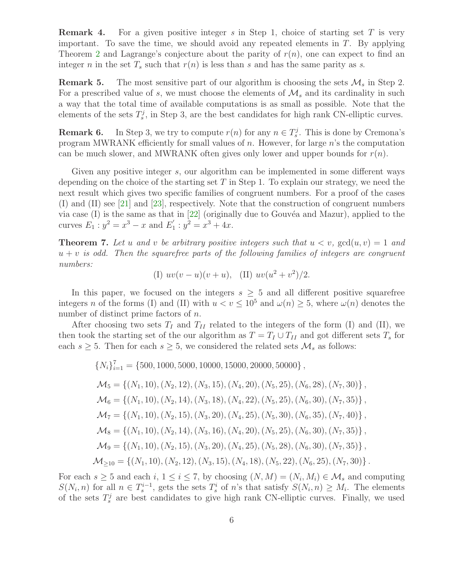**Remark 4.** For a given positive integer s in Step 1, choice of starting set T is very important. To save the time, we should avoid any repeated elements in  $T$ . By applying Theorem [2](#page-3-0) and Lagrange's conjecture about the parity of  $r(n)$ , one can expect to find an integer n in the set  $T_s$  such that  $r(n)$  is less than s and has the same parity as s.

**Remark 5.** The most sensitive part of our algorithm is choosing the sets  $\mathcal{M}_s$  in Step 2. For a prescribed value of s, we must choose the elements of  $\mathcal{M}_s$  and its cardinality in such a way that the total time of available computations is as small as possible. Note that the elements of the sets  $T_s^j$ , in Step 3, are the best candidates for high rank CN-elliptic curves.

**Remark 6.** In Step 3, we try to compute  $r(n)$  for any  $n \in T_s^j$ . This is done by Cremona's program MWRANK efficiently for small values of  $n$ . However, for large  $n$ 's the computation can be much slower, and MWRANK often gives only lower and upper bounds for  $r(n)$ .

Given any positive integer s, our algorithm can be implemented in some different ways depending on the choice of the starting set  $T$  in Step 1. To explain our strategy, we need the next result which gives two specific families of congruent numbers. For a proof of the cases (I) and (II) see [\[21\]](#page-10-9) and [\[23\]](#page-10-1), respectively. Note that the construction of congruent numbers via case  $(I)$  is the same as that in  $[22]$  (originally due to Gouvéa and Mazur), applied to the curves  $E_1$  :  $y^2 = x^3 - x$  and  $E_1'$  $y<sup>2</sup> = x<sup>3</sup> + 4x.$ 

**Theorem 7.** Let u and v be arbitrary positive integers such that  $u < v$ ,  $gcd(u, v) = 1$  and  $u + v$  is odd. Then the squarefree parts of the following families of integers are congruent numbers:

(I) 
$$
uv(v - u)(v + u)
$$
, (II)  $uv(u^2 + v^2)/2$ .

In this paper, we focused on the integers  $s \geq 5$  and all different positive squarefree integers n of the forms (I) and (II) with  $u < v \le 10^5$  and  $\omega(n) \ge 5$ , where  $\omega(n)$  denotes the number of distinct prime factors of *n*.

After choosing two sets  $T_I$  and  $T_{II}$  related to the integers of the form (I) and (II), we then took the starting set of the our algorithm as  $T = T_I \cup T_{II}$  and got different sets  $T_s$  for each  $s \geq 5$ . Then for each  $s \geq 5$ , we considered the related sets  $\mathcal{M}_s$  as follows:

$$
{N_i}_{i=1}^7 = {500, 1000, 5000, 10000, 15000, 20000, 50000},
$$
  
\n
$$
\mathcal{M}_5 = { (N_1, 10), (N_2, 12), (N_3, 15), (N_4, 20), (N_5, 25), (N_6, 28), (N_7, 30)},
$$
  
\n
$$
\mathcal{M}_6 = { (N_1, 10), (N_2, 14), (N_3, 18), (N_4, 22), (N_5, 25), (N_6, 30), (N_7, 35)},
$$
  
\n
$$
\mathcal{M}_7 = { (N_1, 10), (N_2, 15), (N_3, 20), (N_4, 25), (N_5, 30), (N_6, 35), (N_7, 40)},
$$
  
\n
$$
\mathcal{M}_8 = { (N_1, 10), (N_2, 14), (N_3, 16), (N_4, 20), (N_5, 25), (N_6, 30), (N_7, 35)},
$$
  
\n
$$
\mathcal{M}_9 = { (N_1, 10), (N_2, 15), (N_3, 20), (N_4, 25), (N_5, 28), (N_6, 30), (N_7, 35)},
$$
  
\n
$$
\mathcal{M}_{\geq 10} = { (N_1, 10), (N_2, 12), (N_3, 15), (N_4, 18), (N_5, 22), (N_6, 25), (N_7, 30)}.
$$

For each  $s \geq 5$  and each  $i, 1 \leq i \leq 7$ , by choosing  $(N, M) = (N_i, M_i) \in \mathcal{M}_s$  and computing  $S(N_i, n)$  for all  $n \in T_s^{i-1}$ , gets the sets  $T_s^i$  of n's that satisfy  $S(N_i, n) \geq M_i$ . The elements of the sets  $T_s^j$  are best candidates to give high rank CN-elliptic curves. Finally, we used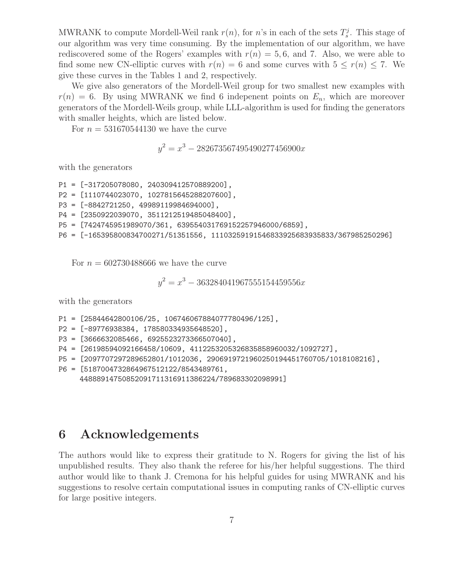MWRANK to compute Mordell-Weil rank  $r(n)$ , for n's in each of the sets  $T_s^j$ . This stage of our algorithm was very time consuming. By the implementation of our algorithm, we have rediscovered some of the Rogers' examples with  $r(n) = 5, 6$ , and 7. Also, we were able to find some new CN-elliptic curves with  $r(n) = 6$  and some curves with  $5 \leq r(n) \leq 7$ . We give these curves in the Tables 1 and 2, respectively.

We give also generators of the Mordell-Weil group for two smallest new examples with  $r(n) = 6$ . By using MWRANK we find 6 indepenent points on  $E_n$ , which are moreover generators of the Mordell-Weils group, while LLL-algorithm is used for finding the generators with smaller heights, which are listed below.

For  $n = 531670544130$  we have the curve

 $y^2 = x^3 - 282673567495490277456900x$ 

with the generators

P1 = [-317205078080, 240309412570889200], P2 = [1110744023070, 1027815645288207600], P3 = [-8842721250, 49989119984694000], P4 = [2350922039070, 3511212519485048400], P5 = [7424745951989070/361, 639554031769152257946000/6859], P6 = [-165395800834700271/51351556, 11103259191546833925683935833/367985250296]

For  $n = 602730488666$  we have the curve

$$
y^2 = x^3 - 363284041967555154459556x
$$

with the generators

- P1 = [25844642800106/25, 106746067884077780496/125],
- P2 = [-89776938384, 178580334935648520],
- P3 = [3666632085466, 6925523273366507040],
- P4 = [26198594092166458/10609, 4112253205326835858960032/1092727],
- P5 = [2097707297289652801/1012036, 2906919721960250194451760705/1018108216],
- P6 = [5187004732864967512122/8543489761, 44888914750852091711316911386224/789683302098991]

#### 6 Acknowledgements

The authors would like to express their gratitude to N. Rogers for giving the list of his unpublished results. They also thank the referee for his/her helpful suggestions. The third author would like to thank J. Cremona for his helpful guides for using MWRANK and his suggestions to resolve certain computational issues in computing ranks of CN-elliptic curves for large positive integers.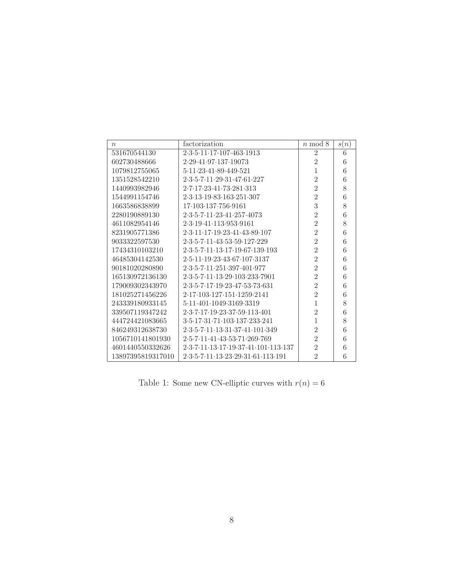| $\boldsymbol{n}$  | factorization                                                                                           | $n \mod 8$     | s(n) |
|-------------------|---------------------------------------------------------------------------------------------------------|----------------|------|
| 531670544130      | 2.3.5.11.17.107.463.1913                                                                                | $\overline{2}$ | 6    |
| 602730488666      | 2.29.41.97.137.19073                                                                                    | $\overline{2}$ | 6    |
| 1079812755065     | 5.11.23.41.89.449.521                                                                                   | 1              | 6    |
| 1351528542210     | 2.3.5.7.11.29.31.47.61.227                                                                              | $\overline{2}$ | 6    |
| 1440993982946     | 2.7.17.23.41.73.281.313                                                                                 | $\overline{2}$ | 8    |
| 1544991154746     | $2 \cdot 3 \cdot 13 \cdot 19 \cdot 83 \cdot 163 \cdot 251 \cdot 307$                                    | $\overline{2}$ | 6    |
| 1663586838899     | 17.103.137.756.9161                                                                                     | 3              | 8    |
| 2280190889130     | 2.3.5.7.11.23.41.257.4073                                                                               | $\overline{2}$ | 6    |
| 4611082954146     | 2.3.19.41.113.953.9161                                                                                  | $\overline{2}$ | 8    |
| 8231905771386     | 2.3.11.17.19.23.41.43.89.107                                                                            | $\overline{2}$ | 6    |
| 9033322597530     | 2.3.5.7.11.43.53.59.127.229                                                                             | $\overline{2}$ | 6    |
| 17434310103210    | 2.3.5.7.11.13.17.19.67.139.193                                                                          | $\overline{2}$ | 6    |
| 46485304142530    | 2.5.11.19.23.43.67.107.3137                                                                             | $\overline{2}$ | 6    |
| 90181020280890    | 2.3.5.7.11.251.397.401.977                                                                              | $\overline{2}$ | 6    |
| 165130972136130   | 2.3.5.7.11.13.29.103.233.7901                                                                           | $\overline{2}$ | 6    |
| 179009302343970   | 2.3.5.7.17.19.23.47.53.73.631                                                                           | $\overline{2}$ | 6    |
| 181025271456226   | 2.17.103.127.151.1259.2141                                                                              | $\overline{2}$ | 6    |
| 243339180933145   | 5.11.401.1049.3169.3319                                                                                 | 1              | 8    |
| 339507119347242   | 2.3.7.17.19.23.37.59.113.401                                                                            | $\overline{2}$ | 6    |
| 444724421083665   | 3.5.17.31.71.103.137.233.241                                                                            | 1              | 8    |
| 846249312638730   | 2.3.5.7.11.13.31.37.41.101.349                                                                          | $\overline{2}$ | 6    |
| 1056710141801930  | 2.5.7.11.41.43.53.71.269.769                                                                            | $\overline{2}$ | 6    |
| 4601440550332626  | $2 \cdot 3 \cdot 7 \cdot 11 \cdot 13 \cdot 17 \cdot 19 \cdot 37 \cdot 41 \cdot 101 \cdot 113 \cdot 137$ | $\overline{2}$ | 6    |
| 13897395819317010 | 2.3.5.7.11.13.23.29.31.61.113.191                                                                       | $\overline{2}$ | 6    |

Table 1: Some new CN-elliptic curves with  $r(n)=6\,$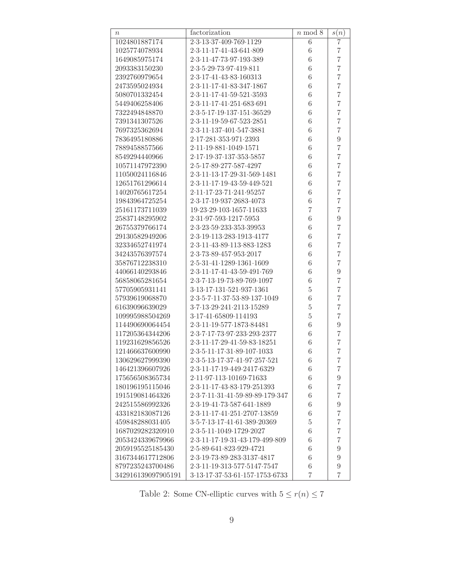| $\boldsymbol{n}$   | factorization                                                                 | $n \mod 8$       | s(n)             |
|--------------------|-------------------------------------------------------------------------------|------------------|------------------|
| 1024801887174      | 2.3.13.37.409.769.1129                                                        | 6                | 7                |
| 1025774078934      | 2.3.11.17.41.43.641.809                                                       | 6                | $\overline{7}$   |
| 1649085975174      | 2.3.11.47.73.97.193.389                                                       | 6                | $\overline{7}$   |
| 2093383150230      | 2.3.5.29.73.97.419.811                                                        | 6                | $\overline{7}$   |
| 2392760979654      | 2.3.17.41.43.83.160313                                                        | 6                | $\overline{7}$   |
| 2473595024934      | 2.3.11.17.41.83.347.1867                                                      | 6                | $\overline{7}$   |
| 5080701332454      | $2 \cdot 3 \cdot 11 \cdot 17 \cdot 41 \cdot 59 \cdot 521 \cdot 3593$          | 6                | $\overline{7}$   |
| 5449406258406      | 2.3.11.17.41.251.683.691                                                      | 6                | $\overline{7}$   |
| 7322494848870      | 2.3.5.17.19.137.151.36529                                                     | 6                | $\overline{7}$   |
| 7391341307526      | 2.3.11.19.59.67.523.2851                                                      | 6                | $\overline{7}$   |
| 7697325362694      | 2.3.11.137.401.547.3881                                                       | 6                | $\overline{7}$   |
| 7836495180886      | 2.17.281.353.971.2393                                                         | 6                | $\overline{9}$   |
| 7889458857566      | 2.11.19.881.1049.1571                                                         | 6                | $\overline{7}$   |
| 8549294440966      | 2.17.19.37.137.353.5857                                                       | 6                | $\overline{7}$   |
| 10571147972390     | 2.5.17.89.277.587.4297                                                        | 6                | $\overline{7}$   |
| 11050024116846     | $2 \cdot 3 \cdot 11 \cdot 13 \cdot 17 \cdot 29 \cdot 31 \cdot 569 \cdot 1481$ | 6                | $\overline{7}$   |
| 12651761296614     | $2 \cdot 3 \cdot 11 \cdot 17 \cdot 19 \cdot 43 \cdot 59 \cdot 449 \cdot 521$  | 6                | $\overline{7}$   |
| 14020765617254     | 2.11.17.23.71.241.95257                                                       | 6                | $\overline{7}$   |
| 19843964725254     | 2.3.17.19.937.2683.4073                                                       | 6                | $\overline{7}$   |
| 25161173711039     | 19-23-29-103-1657-11633                                                       | $\overline{7}$   | $\overline{7}$   |
| 25837148295902     | 2.31.97.593.1217.5953                                                         | 6                | $\overline{9}$   |
| 26755379766174     | $2 \cdot 3 \cdot 23 \cdot 59 \cdot 233 \cdot 353 \cdot 39953$                 | 6                | $\overline{7}$   |
| 29130582949206     | 2.3.19.113.283.1913.4177                                                      | 6                | $\overline{7}$   |
| 32334652741974     | 2.3.11.43.89.113.883.1283                                                     | 6                | $\overline{7}$   |
| 34243576397574     | 2.3.73.89.457.953.2017                                                        | 6                | $\overline{7}$   |
| 35876712238310     | 2.5.31.41.1289.1361.1609                                                      | 6                | $\overline{7}$   |
| 44066140293846     | 2.3.11.17.41.43.59.491.769                                                    | 6                | $\overline{9}$   |
| 56858065281654     | 2.3.7.13.19.73.89.769.1097                                                    | $\overline{6}$   | $\overline{7}$   |
| 57705905931141     | 3.13.17.131.521.937.1361                                                      | $\overline{5}$   | $\overline{7}$   |
| 57939619068870     | 2.3.5.7.11.37.53.89.137.1049                                                  | $\overline{6}$   | $\overline{7}$   |
| 61639096639029     | 3.7.13.29.241.2113.15289                                                      | $\overline{5}$   | $\overline{7}$   |
| 109995988504269    | 3.17.41.65809.114193                                                          | $\overline{5}$   | $\overline{7}$   |
| 114490690064454    | 2.3.11.19.577.1873.84481                                                      | $\overline{6}$   | $\overline{9}$   |
| 117205364344206    | 2.3.7.17.73.97.233.293.2377                                                   | $\boldsymbol{6}$ | $\overline{7}$   |
| 119231629856526    | $2 \cdot 3 \cdot 11 \cdot 17 \cdot 29 \cdot 41 \cdot 59 \cdot 83 \cdot 18251$ | $\boldsymbol{6}$ | $\overline{7}$   |
| 121466637600990    | 2.3.5.11.17.31.89.107.1033                                                    | $\boldsymbol{6}$ | $\overline{7}$   |
| 130629627999390    | $2\cdot 3\cdot 5\cdot 13\cdot 17\cdot 37\cdot 41\cdot 97\cdot 257\cdot 521$   | $\,6$            | $\overline{7}$   |
| 146421396607926    | 2.3.11.17.19.449.2417.6329                                                    | 6                | 7                |
| 175656508365734    | 2.11.97.113.10169.71633                                                       | $\boldsymbol{6}$ | 9                |
| 180196195115046    | 2.3.11.17.43.83.179.251393                                                    | $\boldsymbol{6}$ | 7                |
| 191519081464326    | 2.3.7.11.31.41.59.89.89.179.347                                               | $\boldsymbol{6}$ | 7                |
| 242515586992326    | 2.3.19.41.73.587.641.1889                                                     | $\boldsymbol{6}$ | 9                |
| 433182183087126    | 2.3.11.17.41.251.2707.13859                                                   | $\boldsymbol{6}$ | 7                |
| 459848288031405    | 3.5.7.13.17.41.61.389.20369                                                   | $\rm 5$          | $\overline{7}$   |
| 1687029282320910   | 2.3.5.11.1049.1729.2027                                                       | $\boldsymbol{6}$ | $\overline{7}$   |
| 2053424339679966   | 2.3.11.17.19.31.43.179.499.809                                                | $\boldsymbol{6}$ | 7                |
| 2059195525185430   | 2.5.89.641.823.929.4721                                                       | $\boldsymbol{6}$ | 9                |
| 3167344617712806   | 2.3.19.73.89.283.3137.4817                                                    | $\boldsymbol{6}$ | 9                |
| 8797235243700486   | 2.3.11.19.313.577.5147.7547                                                   | $\;6\;$          | $\boldsymbol{9}$ |
| 342916139097905191 | 3.13.17.37.53.61.157.1753.6733                                                | $\overline{7}$   | $\overline{7}$   |

Table 2: Some CN-elliptic curves with  $5\leq r(n)\leq 7$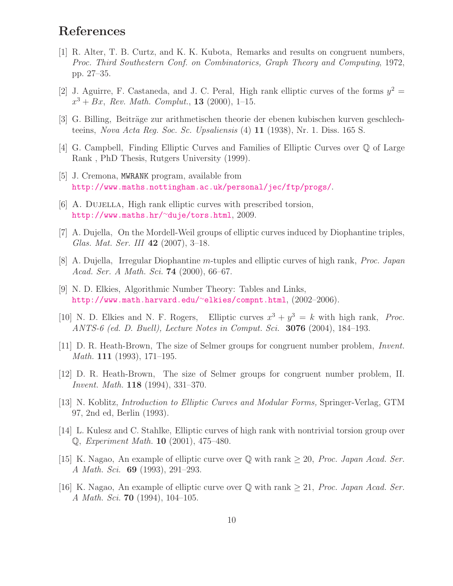# <span id="page-9-7"></span>References

- [1] R. Alter, T. B. Curtz, and K. K. Kubota, Remarks and results on congruent numbers, Proc. Third Southestern Conf. on Combinatorics, Graph Theory and Computing, 1972, pp. 27–35.
- <span id="page-9-2"></span>[2] J. Aguirre, F. Castaneda, and J. C. Peral, High rank elliptic curves of the forms  $y^2 =$  $x^3 + Bx$ , Rev. Math. Complut., **13** (2000), 1-15.
- <span id="page-9-15"></span><span id="page-9-8"></span>[3] G. Billing, Beiträge zur arithmetischen theorie der ebenen kubischen kurven geschlechteeins, Nova Acta Reg. Soc. Sc. Upsaliensis (4) 11 (1938), Nr. 1. Diss. 165 S.
- <span id="page-9-12"></span>[4] G. Campbell, Finding Elliptic Curves and Families of Elliptic Curves over Q of Large Rank , PhD Thesis, Rutgers University (1999).
- <span id="page-9-0"></span>[5] J. Cremona, MWRANK program, available from <http://www.maths.nottingham.ac.uk/personal/jec/ftp/progs/>.
- <span id="page-9-11"></span>[6] A. DUJELLA, High rank elliptic curves with prescribed torsion, [http://www.maths.hr/]( http://www.maths.hr/~duje/tors.html)<sup>∼</sup>duje/tors.html, 2009.
- <span id="page-9-5"></span>[7] A. Dujella, On the Mordell-Weil groups of elliptic curves induced by Diophantine triples, Glas. Mat. Ser. III 42 (2007), 3–18.
- [8] A. Dujella, Irregular Diophantine m-tuples and elliptic curves of high rank, Proc. Japan Acad. Ser. A Math. Sci. 74 (2000), 66–67.
- <span id="page-9-3"></span>[9] N. D. Elkies, Algorithmic Number Theory: Tables and Links, [http://www.math.harvard.edu/](http://www.math.harvard.edu/~elkies/compnt.html)<sup>∼</sup>elkies/compnt.html, (2002–2006).
- <span id="page-9-4"></span>[10] N. D. Elkies and N. F. Rogers, Elliptic curves  $x^3 + y^3 = k$  with high rank, *Proc.* ANTS-6 (ed. D. Buell), Lecture Notes in Comput. Sci. 3076 (2004), 184–193.
- <span id="page-9-13"></span>[11] D. R. Heath-Brown, The size of Selmer groups for congruent number problem, Invent. Math. 111 (1993), 171–195.
- <span id="page-9-14"></span>[12] D. R. Heath-Brown, The size of Selmer groups for congruent number problem, II. Invent. Math. 118 (1994), 331–370.
- <span id="page-9-6"></span>[13] N. Koblitz, Introduction to Elliptic Curves and Modular Forms, Springer-Verlag, GTM 97, 2nd ed, Berlin (1993).
- <span id="page-9-1"></span>[14] L. Kulesz and C. Stahlke, Elliptic curves of high rank with nontrivial torsion group over Q, Experiment Math. 10 (2001), 475–480.
- <span id="page-9-9"></span>[15] K. Nagao, An example of elliptic curve over  $\mathbb Q$  with rank  $\geq 20$ , *Proc. Japan Acad. Ser.* A Math. Sci. 69 (1993), 291–293.
- <span id="page-9-10"></span>[16] K. Nagao, An example of elliptic curve over  $\mathbb Q$  with rank  $\geq 21$ , *Proc. Japan Acad. Ser.* A Math. Sci. 70 (1994), 104–105.